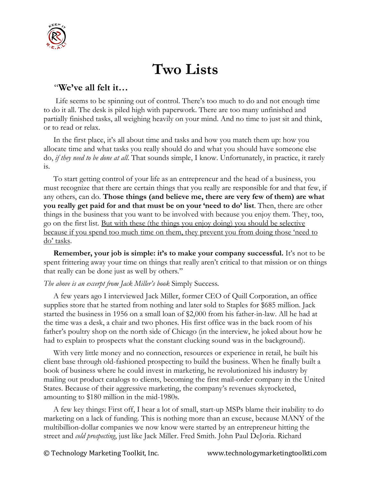

## **Two Lists**

## "**We've all felt it…**

Life seems to be spinning out of control. There's too much to do and not enough time to do it all. The desk is piled high with paperwork. There are too many unfinished and partially finished tasks, all weighing heavily on your mind. And no time to just sit and think, or to read or relax.

 In the first place, it's all about time and tasks and how you match them up: how you allocate time and what tasks you really should do and what you should have someone else do, *if they need to be done at all*. That sounds simple, I know. Unfortunately, in practice, it rarely is.

 To start getting control of your life as an entrepreneur and the head of a business, you must recognize that there are certain things that you really are responsible for and that few, if any others, can do. **Those things (and believe me, there are very few of them) are what you really get paid for and that must be on your 'need to do' list**. Then, there are other things in the business that you want to be involved with because you enjoy them. They, too, go on the first list. But with these (the things you enjoy doing) you should be selective because if you spend too much time on them, they prevent you from doing those 'need to do' tasks.

**Remember, your job is simple: it's to make your company successful.** It's not to be spent frittering away your time on things that really aren't critical to that mission or on things that really can be done just as well by others."

## *The above is an excerpt from Jack Miller's book* Simply Success*.*

 A few years ago I interviewed Jack Miller, former CEO of Quill Corporation, an office supplies store that he started from nothing and later sold to Staples for \$685 million. Jack started the business in 1956 on a small loan of \$2,000 from his father-in-law. All he had at the time was a desk, a chair and two phones. His first office was in the back room of his father's poultry shop on the north side of [Chicago](http://en.wikipedia.org/wiki/Chicago) (in the interview, he joked about how he had to explain to prospects what the constant clucking sound was in the background).

 With very little money and no connection, resources or experience in retail, he built his client base through old-fashioned prospecting to build the business. When he finally built a book of business where he could invest in marketing, he revolutionized his industry by mailing out product catalogs to clients, becoming the first [mail-order](http://en.wikipedia.org/wiki/Mail-order) company in the United States. Because of their aggressive marketing, the company's revenues skyrocketed, amounting to \$180 million in the mid-1980s.

 A few key things: First off, I hear a lot of small, start-up MSPs blame their inability to do marketing on a lack of funding. This is nothing more than an excuse, because MANY of the multibillion-dollar companies we now know were started by an entrepreneur hitting the street and *cold prospecting*, just like Jack Miller. Fred Smith. John Paul DeJoria. Richard